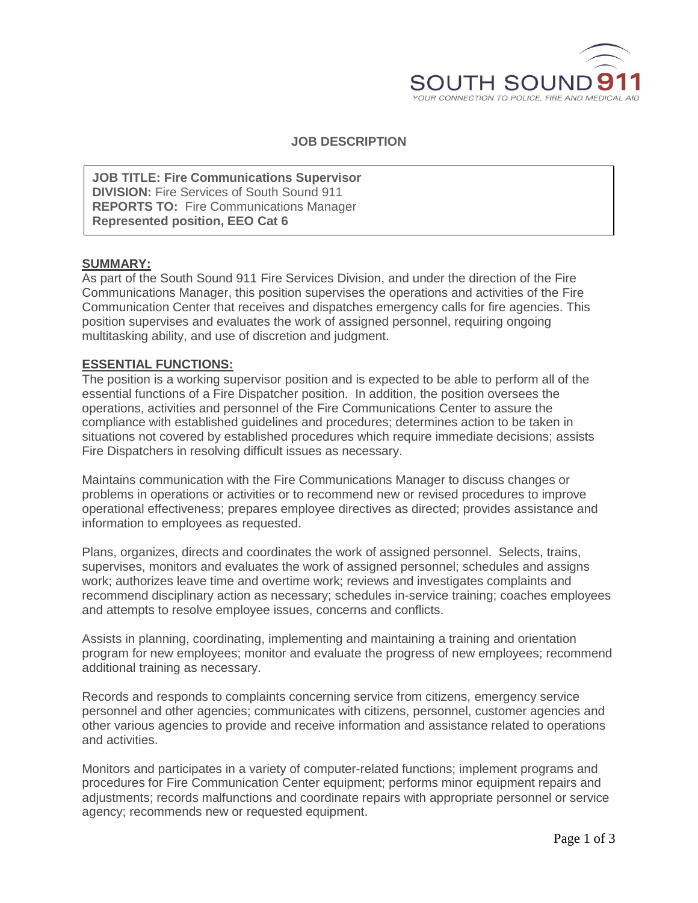

**JOB DESCRIPTION**

**JOB TITLE: Fire Communications Supervisor DIVISION:** Fire Services of South Sound 911 **REPORTS TO:** Fire Communications Manager **Represented position, EEO Cat 6**

### **SUMMARY:**

As part of the South Sound 911 Fire Services Division, and under the direction of the Fire Communications Manager, this position supervises the operations and activities of the Fire Communication Center that receives and dispatches emergency calls for fire agencies. This position supervises and evaluates the work of assigned personnel, requiring ongoing multitasking ability, and use of discretion and judgment.

# **ESSENTIAL FUNCTIONS:**

The position is a working supervisor position and is expected to be able to perform all of the essential functions of a Fire Dispatcher position. In addition, the position oversees the operations, activities and personnel of the Fire Communications Center to assure the compliance with established guidelines and procedures; determines action to be taken in situations not covered by established procedures which require immediate decisions; assists Fire Dispatchers in resolving difficult issues as necessary.

Maintains communication with the Fire Communications Manager to discuss changes or problems in operations or activities or to recommend new or revised procedures to improve operational effectiveness; prepares employee directives as directed; provides assistance and information to employees as requested.

Plans, organizes, directs and coordinates the work of assigned personnel. Selects, trains, supervises, monitors and evaluates the work of assigned personnel; schedules and assigns work; authorizes leave time and overtime work; reviews and investigates complaints and recommend disciplinary action as necessary; schedules in-service training; coaches employees and attempts to resolve employee issues, concerns and conflicts.

Assists in planning, coordinating, implementing and maintaining a training and orientation program for new employees; monitor and evaluate the progress of new employees; recommend additional training as necessary.

Records and responds to complaints concerning service from citizens, emergency service personnel and other agencies; communicates with citizens, personnel, customer agencies and other various agencies to provide and receive information and assistance related to operations and activities.

Monitors and participates in a variety of computer-related functions; implement programs and procedures for Fire Communication Center equipment; performs minor equipment repairs and adjustments; records malfunctions and coordinate repairs with appropriate personnel or service agency; recommends new or requested equipment.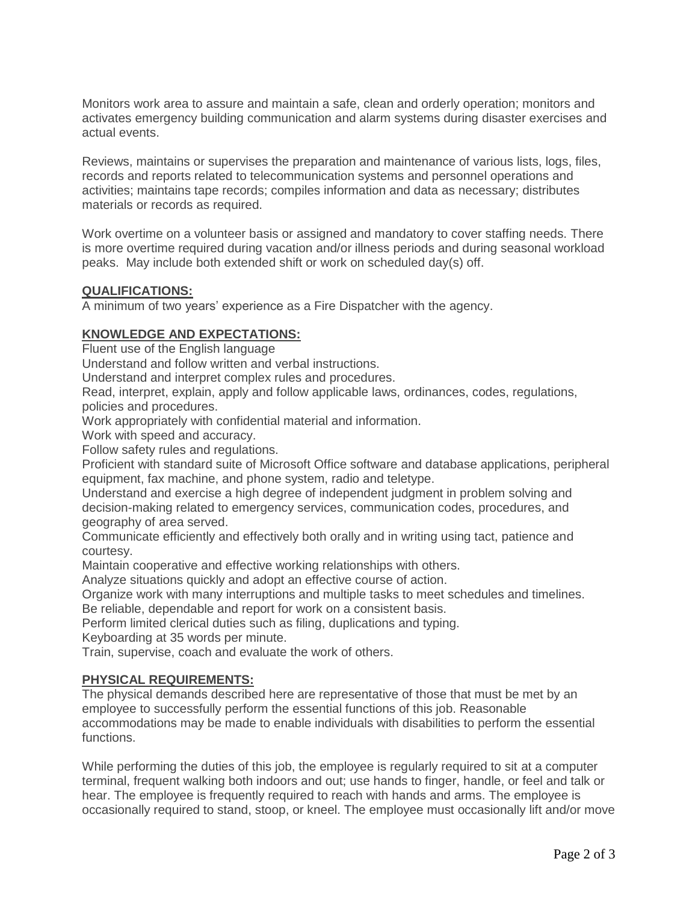Monitors work area to assure and maintain a safe, clean and orderly operation; monitors and activates emergency building communication and alarm systems during disaster exercises and actual events.

Reviews, maintains or supervises the preparation and maintenance of various lists, logs, files, records and reports related to telecommunication systems and personnel operations and activities; maintains tape records; compiles information and data as necessary; distributes materials or records as required.

Work overtime on a volunteer basis or assigned and mandatory to cover staffing needs. There is more overtime required during vacation and/or illness periods and during seasonal workload peaks. May include both extended shift or work on scheduled day(s) off.

# **QUALIFICATIONS:**

A minimum of two years' experience as a Fire Dispatcher with the agency.

# **KNOWLEDGE AND EXPECTATIONS:**

Fluent use of the English language

Understand and follow written and verbal instructions.

Understand and interpret complex rules and procedures.

Read, interpret, explain, apply and follow applicable laws, ordinances, codes, regulations, policies and procedures.

Work appropriately with confidential material and information.

Work with speed and accuracy.

Follow safety rules and regulations.

Proficient with standard suite of Microsoft Office software and database applications, peripheral equipment, fax machine, and phone system, radio and teletype.

Understand and exercise a high degree of independent judgment in problem solving and decision-making related to emergency services, communication codes, procedures, and geography of area served.

Communicate efficiently and effectively both orally and in writing using tact, patience and courtesy.

Maintain cooperative and effective working relationships with others.

Analyze situations quickly and adopt an effective course of action.

Organize work with many interruptions and multiple tasks to meet schedules and timelines. Be reliable, dependable and report for work on a consistent basis.

Perform limited clerical duties such as filing, duplications and typing.

Keyboarding at 35 words per minute.

Train, supervise, coach and evaluate the work of others.

### **PHYSICAL REQUIREMENTS:**

The physical demands described here are representative of those that must be met by an employee to successfully perform the essential functions of this job. Reasonable accommodations may be made to enable individuals with disabilities to perform the essential functions.

While performing the duties of this job, the employee is regularly required to sit at a computer terminal, frequent walking both indoors and out; use hands to finger, handle, or feel and talk or hear. The employee is frequently required to reach with hands and arms. The employee is occasionally required to stand, stoop, or kneel. The employee must occasionally lift and/or move